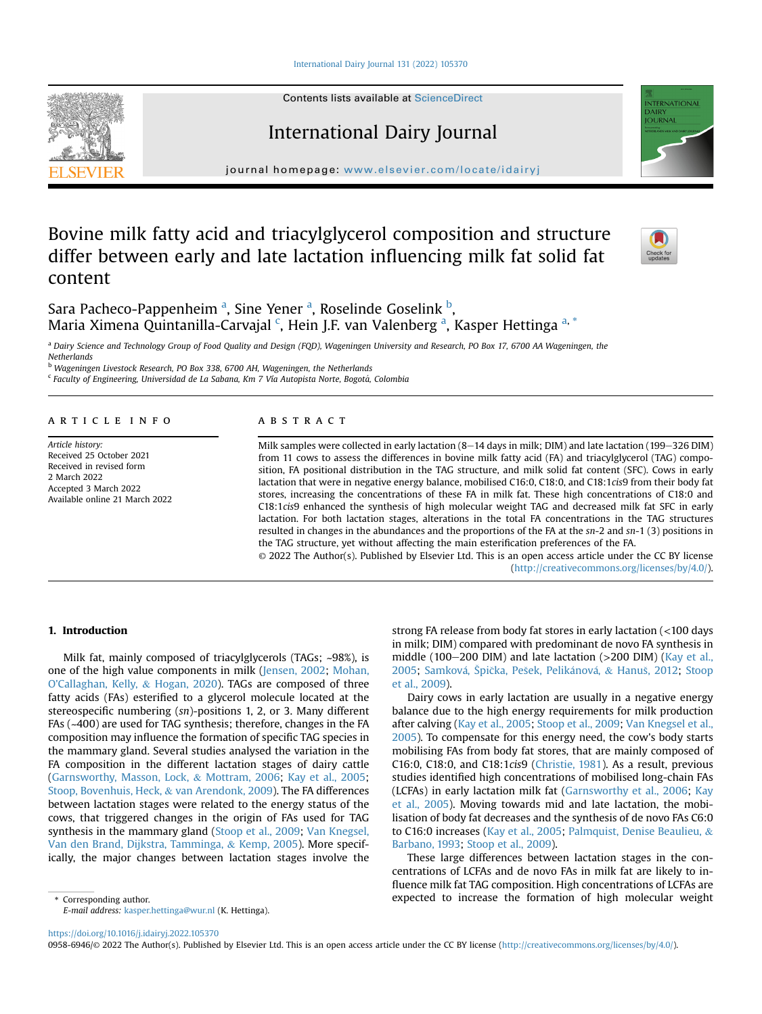[International Dairy Journal 131 \(2022\) 105370](https://doi.org/10.1016/j.idairyj.2022.105370)

Contents lists available at [ScienceDirect](www.sciencedirect.com/science/journal/09586946)

# International Dairy Journal

journal homepage: [www.elsevier.com/locate/idairyj](http://www.elsevier.com/locate/idairyj)

# Bovine milk fatty acid and triacylglycerol composition and structure differ between early and late lactation influencing milk fat solid fat content



**VTERNATIONA DAIRY IOURNAL** 

S[a](#page-0-0)ra Pacheco-Pappenheim <sup>a</sup>, Sine Yener <sup>a</sup>, Roselinde Goselink <sup>[b](#page-0-1)</sup>, Maria Ximena Quintanilla-Carvajal <sup>[c](#page-0-2)</sup>, Hein J.F. v[a](#page-0-0)n Valenberg <sup>a</sup>, Kasper Hettinga <sup>[a,](#page-0-0) [\\*](#page-0-3)</sup>

<span id="page-0-0"></span>a Dairy Science and Technology Group of Food Quality and Design (FQD), Wageningen University and Research, PO Box 17, 6700 AA Wageningen, the Netherlands

<span id="page-0-1"></span><sup>b</sup> Wageningen Livestock Research, PO Box 338, 6700 AH, Wageningen, the Netherlands

<span id="page-0-2"></span> $c$  Faculty of Engineering, Universidad de La Sabana, Km 7 Vía Autopista Norte, Bogotá, Colombia

#### article info

Article history: Received 25 October 2021 Received in revised form 2 March 2022 Accepted 3 March 2022 Available online 21 March 2022

# **ABSTRACT**

Milk samples were collected in early lactation (8–14 days in milk; DIM) and late lactation (199–326 DIM) from 11 cows to assess the differences in bovine milk fatty acid (FA) and triacylglycerol (TAG) composition, FA positional distribution in the TAG structure, and milk solid fat content (SFC). Cows in early lactation that were in negative energy balance, mobilised C16:0, C18:0, and C18:1cis9 from their body fat stores, increasing the concentrations of these FA in milk fat. These high concentrations of C18:0 and C18:1cis9 enhanced the synthesis of high molecular weight TAG and decreased milk fat SFC in early lactation. For both lactation stages, alterations in the total FA concentrations in the TAG structures resulted in changes in the abundances and the proportions of the FA at the sn-2 and sn-1 (3) positions in the TAG structure, yet without affecting the main esterification preferences of the FA.

© 2022 The Author(s). Published by Elsevier Ltd. This is an open access article under the CC BY license [\(http://creativecommons.org/licenses/by/4.0/](http://creativecommons.org/licenses/by/4.0/)).

# 1. Introduction

Milk fat, mainly composed of triacylglycerols (TAGs; ~98%), is one of the high value components in milk ([Jensen, 2002](#page-8-0); [Mohan,](#page-8-1) [O'Callaghan, Kelly,](#page-8-1) & [Hogan, 2020\)](#page-8-1). TAGs are composed of three fatty acids (FAs) esterified to a glycerol molecule located at the stereospecific numbering (sn)-positions 1, 2, or 3. Many different FAs (~400) are used for TAG synthesis; therefore, changes in the FA composition may influence the formation of specific TAG species in the mammary gland. Several studies analysed the variation in the FA composition in the different lactation stages of dairy cattle ([Garnsworthy, Masson, Lock,](#page-7-0) & [Mottram, 2006;](#page-7-0) [Kay et al., 2005;](#page-8-2) [Stoop, Bovenhuis, Heck,](#page-8-3) & [van Arendonk, 2009](#page-8-3)). The FA differences between lactation stages were related to the energy status of the cows, that triggered changes in the origin of FAs used for TAG synthesis in the mammary gland [\(Stoop et al., 2009;](#page-8-3) [Van Knegsel,](#page-8-4) [Van den Brand, Dijkstra, Tamminga,](#page-8-4) & [Kemp, 2005\)](#page-8-4). More specifically, the major changes between lactation stages involve the strong FA release from body fat stores in early lactation (<100 days in milk; DIM) compared with predominant de novo FA synthesis in middle (100 $-200$  DIM) and late lactation ( $>200$  DIM) [\(Kay et al.,](#page-8-2) [2005;](#page-8-2) Samková, Špička, Pešek, Pelikánová, & [Hanu](#page-8-5)š[, 2012](#page-8-5); [Stoop](#page-8-3) [et al., 2009\)](#page-8-3).

Dairy cows in early lactation are usually in a negative energy balance due to the high energy requirements for milk production after calving [\(Kay et al., 2005](#page-8-2); [Stoop et al., 2009;](#page-8-3) [Van Knegsel et al.,](#page-8-4) [2005\)](#page-8-4). To compensate for this energy need, the cow's body starts mobilising FAs from body fat stores, that are mainly composed of C16:0, C18:0, and C18:1cis9 ([Christie, 1981\)](#page-7-1). As a result, previous studies identified high concentrations of mobilised long-chain FAs (LCFAs) in early lactation milk fat [\(Garnsworthy et al., 2006;](#page-7-0) [Kay](#page-8-2) [et al., 2005](#page-8-2)). Moving towards mid and late lactation, the mobilisation of body fat decreases and the synthesis of de novo FAs C6:0 to C16:0 increases ([Kay et al., 2005](#page-8-2); [Palmquist, Denise Beaulieu,](#page-8-6) & [Barbano, 1993;](#page-8-6) [Stoop et al., 2009](#page-8-3)).

These large differences between lactation stages in the concentrations of LCFAs and de novo FAs in milk fat are likely to influence milk fat TAG composition. High concentrations of LCFAs are \* Corresponding author. expected to increase the formation of high molecular weight

<span id="page-0-3"></span>E-mail address: [kasper.hettinga@wur.nl](mailto:kasper.hettinga@wur.nl) (K. Hettinga).

<https://doi.org/10.1016/j.idairyj.2022.105370>

0958-6946/© 2022 The Author(s). Published by Elsevier Ltd. This is an open access article under the CC BY license (<http://creativecommons.org/licenses/by/4.0/>).

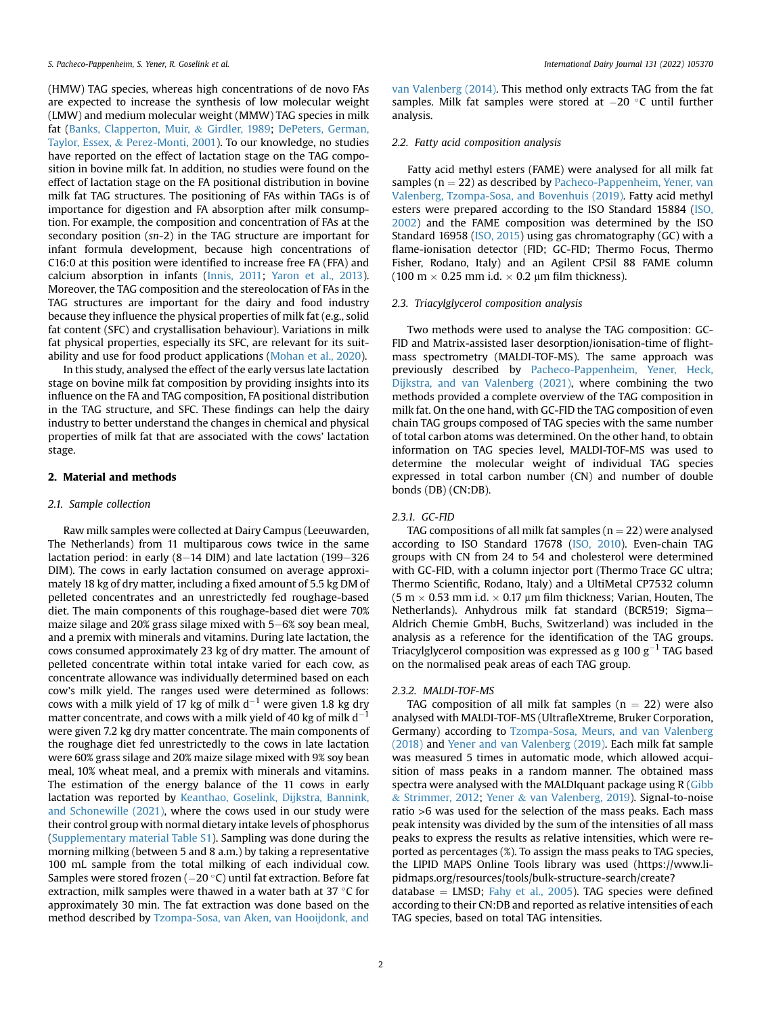(HMW) TAG species, whereas high concentrations of de novo FAs are expected to increase the synthesis of low molecular weight (LMW) and medium molecular weight (MMW) TAG species in milk fat [\(Banks, Clapperton, Muir,](#page-7-2) & [Girdler, 1989](#page-7-2); [DePeters, German,](#page-7-3) [Taylor, Essex,](#page-7-3) & [Perez-Monti, 2001](#page-7-3)). To our knowledge, no studies have reported on the effect of lactation stage on the TAG composition in bovine milk fat. In addition, no studies were found on the effect of lactation stage on the FA positional distribution in bovine milk fat TAG structures. The positioning of FAs within TAGs is of importance for digestion and FA absorption after milk consumption. For example, the composition and concentration of FAs at the secondary position (sn-2) in the TAG structure are important for infant formula development, because high concentrations of C16:0 at this position were identified to increase free FA (FFA) and calcium absorption in infants [\(Innis, 2011](#page-8-7); [Yaron et al., 2013\)](#page-8-8). Moreover, the TAG composition and the stereolocation of FAs in the TAG structures are important for the dairy and food industry because they influence the physical properties of milk fat (e.g., solid fat content (SFC) and crystallisation behaviour). Variations in milk fat physical properties, especially its SFC, are relevant for its suitability and use for food product applications [\(Mohan et al., 2020](#page-8-1)).

In this study, analysed the effect of the early versus late lactation stage on bovine milk fat composition by providing insights into its influence on the FA and TAG composition, FA positional distribution in the TAG structure, and SFC. These findings can help the dairy industry to better understand the changes in chemical and physical properties of milk fat that are associated with the cows' lactation stage.

## 2. Material and methods

#### 2.1. Sample collection

Raw milk samples were collected at Dairy Campus (Leeuwarden, The Netherlands) from 11 multiparous cows twice in the same lactation period: in early  $(8-14 \text{ DIM})$  and late lactation  $(199-326 \text{ F})$ DIM). The cows in early lactation consumed on average approximately 18 kg of dry matter, including a fixed amount of 5.5 kg DM of pelleted concentrates and an unrestrictedly fed roughage-based diet. The main components of this roughage-based diet were 70% maize silage and 20% grass silage mixed with  $5-6%$  soy bean meal, and a premix with minerals and vitamins. During late lactation, the cows consumed approximately 23 kg of dry matter. The amount of pelleted concentrate within total intake varied for each cow, as concentrate allowance was individually determined based on each cow's milk yield. The ranges used were determined as follows: cows with a milk yield of 17 kg of milk  $d^{-1}$  were given 1.8 kg dry matter concentrate, and cows with a milk yield of 40 kg of milk  $d^$ were given 7.2 kg dry matter concentrate. The main components of the roughage diet fed unrestrictedly to the cows in late lactation were 60% grass silage and 20% maize silage mixed with 9% soy bean meal, 10% wheat meal, and a premix with minerals and vitamins. The estimation of the energy balance of the 11 cows in early lactation was reported by [Keanthao, Goselink, Dijkstra, Bannink,](#page-8-9) [and Schonewille \(2021\)](#page-8-9), where the cows used in our study were their control group with normal dietary intake levels of phosphorus (Supplementary material Table S1). Sampling was done during the morning milking (between 5 and 8 a.m.) by taking a representative 100 mL sample from the total milking of each individual cow. Samples were stored frozen ( $-20$  °C) until fat extraction. Before fat extraction, milk samples were thawed in a water bath at 37  $\degree$ C for approximately 30 min. The fat extraction was done based on the method described by [Tzompa-Sosa, van Aken, van Hooijdonk, and](#page-8-10)

[van Valenberg \(2014\).](#page-8-10) This method only extracts TAG from the fat samples. Milk fat samples were stored at  $-20$  °C until further analysis.

# 2.2. Fatty acid composition analysis

Fatty acid methyl esters (FAME) were analysed for all milk fat samples ( $n = 22$ ) as described by [Pacheco-Pappenheim, Yener, van](#page-8-11) [Valenberg, Tzompa-Sosa, and Bovenhuis \(2019\)](#page-8-11). Fatty acid methyl esters were prepared according to the ISO Standard 15884 [\(ISO,](#page-8-12) [2002\)](#page-8-12) and the FAME composition was determined by the ISO Standard 16958 [\(ISO, 2015\)](#page-8-13) using gas chromatography (GC) with a flame-ionisation detector (FID; GC-FID; Thermo Focus, Thermo Fisher, Rodano, Italy) and an Agilent CPSil 88 FAME column (100 m  $\times$  0.25 mm i.d.  $\times$  0.2 µm film thickness).

#### 2.3. Triacylglycerol composition analysis

Two methods were used to analyse the TAG composition: GC-FID and Matrix-assisted laser desorption/ionisation-time of flightmass spectrometry (MALDI-TOF-MS). The same approach was previously described by [Pacheco-Pappenheim, Yener, Heck,](#page-8-14) [Dijkstra, and van Valenberg \(2021\),](#page-8-14) where combining the two methods provided a complete overview of the TAG composition in milk fat. On the one hand, with GC-FID the TAG composition of even chain TAG groups composed of TAG species with the same number of total carbon atoms was determined. On the other hand, to obtain information on TAG species level, MALDI-TOF-MS was used to determine the molecular weight of individual TAG species expressed in total carbon number (CN) and number of double bonds (DB) (CN:DB).

#### 2.3.1. GC-FID

TAG compositions of all milk fat samples ( $n = 22$ ) were analysed according to ISO Standard 17678 ([ISO, 2010](#page-8-15)). Even-chain TAG groups with CN from 24 to 54 and cholesterol were determined with GC-FID, with a column injector port (Thermo Trace GC ultra; Thermo Scientific, Rodano, Italy) and a UltiMetal CP7532 column (5 m  $\times$  0.53 mm i.d.  $\times$  0.17 µm film thickness; Varian, Houten, The Netherlands). Anhydrous milk fat standard (BCR519; Sigma-Aldrich Chemie GmbH, Buchs, Switzerland) was included in the analysis as a reference for the identification of the TAG groups. Triacylglycerol composition was expressed as g 100  $g^{-1}$  TAG based on the normalised peak areas of each TAG group.

## 2.3.2. MALDI-TOF-MS

TAG composition of all milk fat samples ( $n = 22$ ) were also analysed with MALDI-TOF-MS (UltrafleXtreme, Bruker Corporation, Germany) according to [Tzompa-Sosa, Meurs, and van Valenberg](#page-8-16) [\(2018\)](#page-8-16) and [Yener and van Valenberg \(2019\).](#page-8-17) Each milk fat sample was measured 5 times in automatic mode, which allowed acquisition of mass peaks in a random manner. The obtained mass spectra were analysed with the MALDIquant package using R [\(Gibb](#page-7-4) & [Strimmer, 2012;](#page-7-4) [Yener](#page-8-17) & [van Valenberg, 2019\)](#page-8-17). Signal-to-noise ratio >6 was used for the selection of the mass peaks. Each mass peak intensity was divided by the sum of the intensities of all mass peaks to express the results as relative intensities, which were reported as percentages (%). To assign the mass peaks to TAG species, the LIPID MAPS Online Tools library was used (https://www.lipidmaps.org/resources/tools/bulk-structure-search/create?

database  $=$  LMSD; [Fahy et al., 2005\)](#page-7-5). TAG species were defined according to their CN:DB and reported as relative intensities of each TAG species, based on total TAG intensities.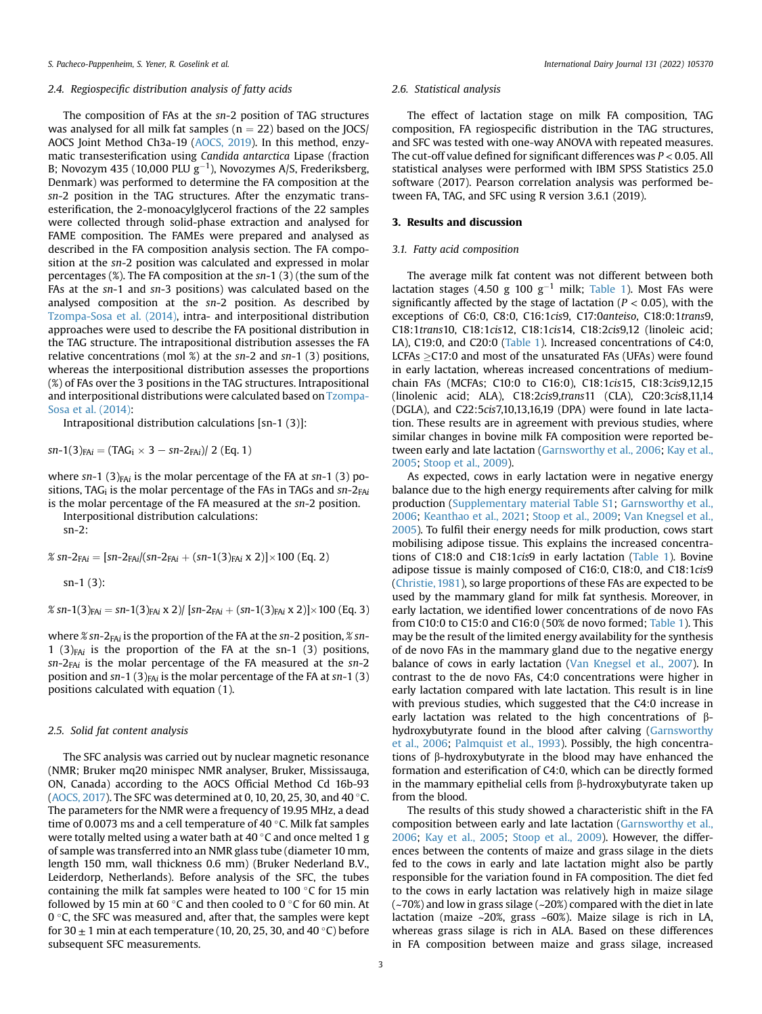#### 2.4. Regiospecific distribution analysis of fatty acids

The composition of FAs at the sn-2 position of TAG structures was analysed for all milk fat samples ( $n = 22$ ) based on the JOCS/ AOCS Joint Method Ch3a-19 ([AOCS, 2019](#page-7-6)). In this method, enzymatic transesterification using Candida antarctica Lipase (fraction B; Novozym 435 (10,000 PLU g $^{-1}$ ), Novozymes A/S, Frederiksberg, Denmark) was performed to determine the FA composition at the sn-2 position in the TAG structures. After the enzymatic transesterification, the 2-monoacylglycerol fractions of the 22 samples were collected through solid-phase extraction and analysed for FAME composition. The FAMEs were prepared and analysed as described in the FA composition analysis section. The FA composition at the sn-2 position was calculated and expressed in molar percentages (%). The FA composition at the sn-1 (3) (the sum of the FAs at the sn-1 and sn-3 positions) was calculated based on the analysed composition at the sn-2 position. As described by [Tzompa-Sosa et al. \(2014\),](#page-8-10) intra- and interpositional distribution approaches were used to describe the FA positional distribution in the TAG structure. The intrapositional distribution assesses the FA relative concentrations (mol %) at the sn-2 and sn-1 (3) positions, whereas the interpositional distribution assesses the proportions (%) of FAs over the 3 positions in the TAG structures. Intrapositional and interpositional distributions were calculated based on [Tzompa-](#page-8-10)[Sosa et al. \(2014\):](#page-8-10)

Intrapositional distribution calculations [sn-1 (3)]:

 $sn-1(3)_{FAi} = (TAG_i \times 3 - sn-2_{FAi})/ 2$  (Eq. 1)

where sn-1 (3)<sub>FAi</sub> is the molar percentage of the FA at sn-1 (3) positions, TAG<sub>i</sub> is the molar percentage of the FAs in TAGs and  $sn-2_{FAi}$ is the molar percentage of the FA measured at the sn-2 position.

Interpositional distribution calculations:

sn-2:

% sn-2<sub>FAi</sub> =  $[sn-2<sub>FAi</sub>/(sn-2<sub>FAi</sub> + (sn-1(3)<sub>FAi</sub> x 2)] \times 100$  (Eq. 2)

sn-1 (3):

% sn-1(3)<sub>FAi</sub> = sn-1(3)<sub>FAi</sub> x 2)/ [sn-2<sub>FAi</sub> + (sn-1(3)<sub>FAi</sub> x 2)] $\times$ 100 (Eq. 3)

where  $\frac{g}{g}$  sn-2<sub>FAi</sub> is the proportion of the FA at the sn-2 position,  $\frac{g}{g}$  sn-1 (3) $_{FAi}$  is the proportion of the FA at the sn-1 (3) positions,  $sn-2_{FAi}$  is the molar percentage of the FA measured at the  $sn-2$ position and  $sn-1$  (3)<sub>FAi</sub> is the molar percentage of the FA at  $sn-1$  (3) positions calculated with equation (1).

#### 2.5. Solid fat content analysis

The SFC analysis was carried out by nuclear magnetic resonance (NMR; Bruker mq20 minispec NMR analyser, Bruker, Mississauga, ON, Canada) according to the AOCS Official Method Cd 16b-93 ([AOCS, 2017\)](#page-7-7). The SFC was determined at 0, 10, 20, 25, 30, and 40  $\degree$ C. The parameters for the NMR were a frequency of 19.95 MHz, a dead time of 0.0073 ms and a cell temperature of 40  $\degree$ C. Milk fat samples were totally melted using a water bath at 40  $\degree$ C and once melted 1 g of sample was transferred into an NMR glass tube (diameter 10 mm, length 150 mm, wall thickness 0.6 mm) (Bruker Nederland B.V., Leiderdorp, Netherlands). Before analysis of the SFC, the tubes containing the milk fat samples were heated to 100  $\degree$ C for 15 min followed by 15 min at 60 $\degree$ C and then cooled to 0 $\degree$ C for 60 min. At 0 $\degree$ C, the SFC was measured and, after that, the samples were kept for 30  $\pm$  1 min at each temperature (10, 20, 25, 30, and 40 °C) before subsequent SFC measurements.

#### 2.6. Statistical analysis

The effect of lactation stage on milk FA composition, TAG composition, FA regiospecific distribution in the TAG structures, and SFC was tested with one-way ANOVA with repeated measures. The cut-off value defined for significant differences was  $P < 0.05$ . All statistical analyses were performed with IBM SPSS Statistics 25.0 software (2017). Pearson correlation analysis was performed between FA, TAG, and SFC using R version 3.6.1 (2019).

#### 3. Results and discussion

#### 3.1. Fatty acid composition

The average milk fat content was not different between both lactation stages (4.50 g 100 g<sup>-1</sup> milk; [Table 1\)](#page-3-0). Most FAs were significantly affected by the stage of lactation ( $P < 0.05$ ), with the exceptions of C6:0, C8:0, C16:1cis9, C17:0anteiso, C18:0:1trans9, C18:1trans10, C18:1cis12, C18:1cis14, C18:2cis9,12 (linoleic acid; LA), C19:0, and C20:0 [\(Table 1\)](#page-3-0). Increased concentrations of C4:0, LCFAs  $\geq$ C17:0 and most of the unsaturated FAs (UFAs) were found in early lactation, whereas increased concentrations of mediumchain FAs (MCFAs; C10:0 to C16:0), C18:1cis15, C18:3cis9,12,15 (linolenic acid; ALA), C18:2cis9,trans11 (CLA), C20:3cis8,11,14 (DGLA), and C22:5cis7,10,13,16,19 (DPA) were found in late lactation. These results are in agreement with previous studies, where similar changes in bovine milk FA composition were reported between early and late lactation ([Garnsworthy et al., 2006;](#page-7-0) [Kay et al.,](#page-8-2) [2005;](#page-8-2) [Stoop et al., 2009\)](#page-8-3).

As expected, cows in early lactation were in negative energy balance due to the high energy requirements after calving for milk production (Supplementary material Table S1; [Garnsworthy et al.,](#page-7-0) [2006;](#page-7-0) [Keanthao et al., 2021](#page-8-9); [Stoop et al., 2009;](#page-8-3) [Van Knegsel et al.,](#page-8-4) [2005\)](#page-8-4). To fulfil their energy needs for milk production, cows start mobilising adipose tissue. This explains the increased concentrations of C18:0 and C18:1cis9 in early lactation [\(Table 1](#page-3-0)). Bovine adipose tissue is mainly composed of C16:0, C18:0, and C18:1cis9 ([Christie, 1981](#page-7-1)), so large proportions of these FAs are expected to be used by the mammary gland for milk fat synthesis. Moreover, in early lactation, we identified lower concentrations of de novo FAs from C10:0 to C15:0 and C16:0 (50% de novo formed; [Table 1](#page-3-0)). This may be the result of the limited energy availability for the synthesis of de novo FAs in the mammary gland due to the negative energy balance of cows in early lactation ([Van Knegsel et al., 2007\)](#page-8-18). In contrast to the de novo FAs, C4:0 concentrations were higher in early lactation compared with late lactation. This result is in line with previous studies, which suggested that the C4:0 increase in early lactation was related to the high concentrations of  $\beta$ hydroxybutyrate found in the blood after calving [\(Garnsworthy](#page-7-0) [et al., 2006;](#page-7-0) [Palmquist et al., 1993](#page-8-6)). Possibly, the high concentrations of  $\beta$ -hydroxybutyrate in the blood may have enhanced the formation and esterification of C4:0, which can be directly formed in the mammary epithelial cells from  $\beta$ -hydroxybutyrate taken up from the blood.

The results of this study showed a characteristic shift in the FA composition between early and late lactation [\(Garnsworthy et al.,](#page-7-0) [2006;](#page-7-0) [Kay et al., 2005](#page-8-2); [Stoop et al., 2009](#page-8-3)). However, the differences between the contents of maize and grass silage in the diets fed to the cows in early and late lactation might also be partly responsible for the variation found in FA composition. The diet fed to the cows in early lactation was relatively high in maize silage (~70%) and low in grass silage (~20%) compared with the diet in late lactation (maize ~20%, grass ~60%). Maize silage is rich in LA, whereas grass silage is rich in ALA. Based on these differences in FA composition between maize and grass silage, increased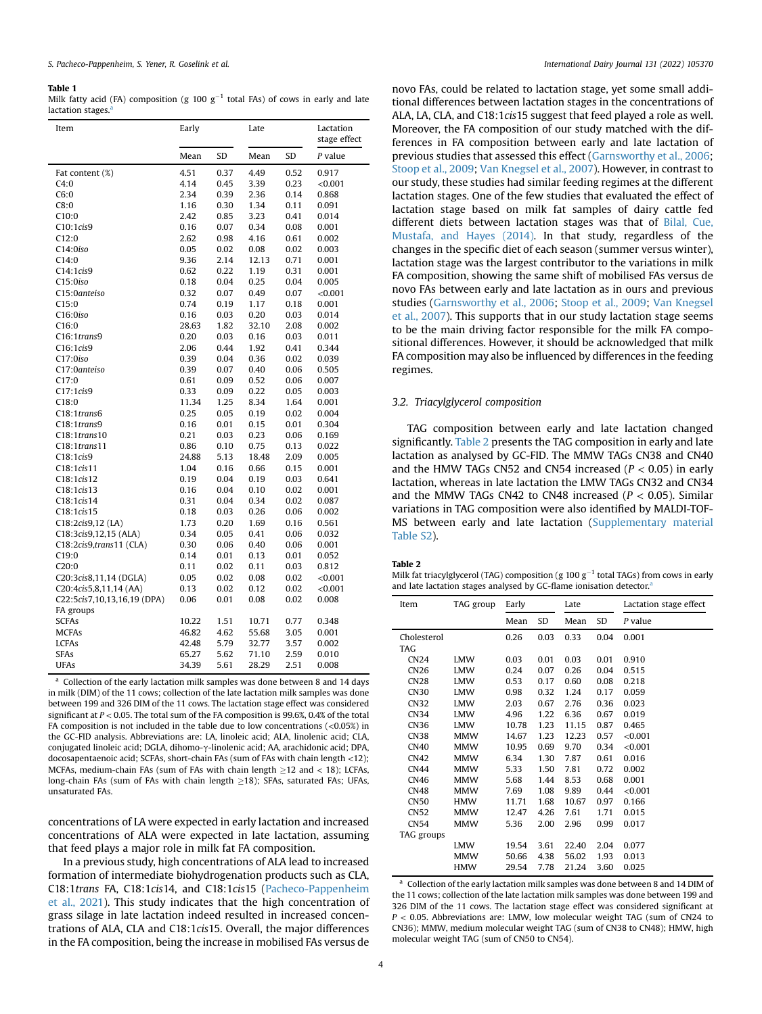#### <span id="page-3-0"></span>Table 1

Milk fatty acid (FA) composition (g 100  $g^{-1}$  total FAs) of cows in early and late lactation stages.<sup>8</sup>

| Item                                | Early |      | Late  |      | Lactation<br>stage effect |
|-------------------------------------|-------|------|-------|------|---------------------------|
|                                     | Mean  | SD   | Mean  | SD   | P value                   |
| Fat content (%)                     | 4.51  | 0.37 | 4.49  | 0.52 | 0.917                     |
| C4:0                                | 4.14  | 0.45 | 3.39  | 0.23 | < 0.001                   |
| C6:0                                | 2.34  | 0.39 | 2.36  | 0.14 | 0.868                     |
| C8:0                                | 1.16  | 0.30 | 1.34  | 0.11 | 0.091                     |
| C10:0                               | 2.42  | 0.85 | 3.23  | 0.41 | 0.014                     |
| C10:1cis9                           | 0.16  | 0.07 | 0.34  | 0.08 | 0.001                     |
| C12:0                               | 2.62  | 0.98 | 4.16  | 0.61 | 0.002                     |
| C14:0iso                            | 0.05  | 0.02 | 0.08  | 0.02 | 0.003                     |
| C14:0                               | 9.36  | 2.14 | 12.13 | 0.71 | 0.001                     |
| C14:1cis9                           | 0.62  | 0.22 | 1.19  | 0.31 | 0.001                     |
| C15:0iso                            | 0.18  | 0.04 | 0.25  | 0.04 | 0.005                     |
| C15:0anteiso                        | 0.32  | 0.07 | 0.49  | 0.07 | < 0.001                   |
| C15:0                               | 0.74  | 0.19 | 1.17  | 0.18 | 0.001                     |
| C16:0iso                            | 0.16  | 0.03 | 0.20  | 0.03 | 0.014                     |
| C16:0                               | 28.63 | 1.82 | 32.10 | 2.08 | 0.002                     |
| C16:1trans9                         | 0.20  | 0.03 | 0.16  | 0.03 | 0.011                     |
| C16:1cis9                           | 2.06  | 0.44 | 1.92  | 0.41 | 0.344                     |
| C17:0iso                            | 0.39  | 0.04 | 0.36  | 0.02 | 0.039                     |
| C17:0anteiso                        | 0.39  | 0.07 | 0.40  | 0.06 | 0.505                     |
| C17:0                               | 0.61  | 0.09 | 0.52  | 0.06 | 0.007                     |
| C17:1cis9                           | 0.33  | 0.09 | 0.22  | 0.05 | 0.003                     |
| C18:0                               | 11.34 | 1.25 | 8.34  | 1.64 | 0.001                     |
| C18:1trans6                         | 0.25  | 0.05 | 0.19  | 0.02 | 0.004                     |
| C18:1trans9                         | 0.16  | 0.01 | 0.15  | 0.01 | 0.304                     |
| $C18:1$ trans $10$                  | 0.21  | 0.03 | 0.23  | 0.06 | 0.169                     |
| C18:1trans11                        | 0.86  | 0.10 | 0.75  | 0.13 | 0.022                     |
| C18:1cis9                           | 24.88 | 5.13 | 18.48 | 2.09 | 0.005                     |
| C18:1cis11                          | 1.04  | 0.16 | 0.66  | 0.15 | 0.001                     |
| C <sub>18</sub> :1cis <sub>12</sub> | 0.19  | 0.04 | 0.19  | 0.03 | 0.641                     |
| C <sub>18</sub> :1cis <sub>13</sub> | 0.16  | 0.04 | 0.10  | 0.02 | 0.001                     |
| C18:1cis14                          | 0.31  | 0.04 | 0.34  | 0.02 | 0.087                     |
| C18:1cis15                          | 0.18  | 0.03 | 0.26  | 0.06 | 0.002                     |
| C18:2cis9,12 (LA)                   | 1.73  | 0.20 | 1.69  | 0.16 | 0.561                     |
| C18:3cis9,12,15 (ALA)               | 0.34  | 0.05 | 0.41  | 0.06 | 0.032                     |
| C18:2cis9,trans11 (CLA)             | 0.30  | 0.06 | 0.40  | 0.06 | 0.001                     |
| C19:0                               | 0.14  | 0.01 | 0.13  | 0.01 | 0.052                     |
| C20:0                               | 0.11  | 0.02 | 0.11  | 0.03 | 0.812                     |
| C20:3cis8,11,14 (DGLA)              | 0.05  | 0.02 | 0.08  | 0.02 | ${<}0.001$                |
| C20:4cis5,8,11,14 (AA)              | 0.13  | 0.02 | 0.12  | 0.02 | < 0.001                   |
| C22:5cis7,10,13,16,19 (DPA)         | 0.06  | 0.01 | 0.08  | 0.02 | 0.008                     |
| FA groups                           |       |      |       |      |                           |
| <b>SCFAs</b>                        | 10.22 | 1.51 | 10.71 | 0.77 | 0.348                     |
| <b>MCFAs</b>                        | 46.82 | 4.62 | 55.68 | 3.05 | 0.001                     |
| <b>LCFAs</b>                        | 42.48 | 5.79 | 32.77 | 3.57 | 0.002                     |
| <b>SFAs</b>                         | 65.27 | 5.62 | 71.10 | 2.59 | 0.010                     |
| <b>UFAs</b>                         | 34.39 | 5.61 | 28.29 | 2.51 | 0.008                     |

<span id="page-3-2"></span>a Collection of the early lactation milk samples was done between 8 and 14 days in milk (DIM) of the 11 cows; collection of the late lactation milk samples was done between 199 and 326 DIM of the 11 cows. The lactation stage effect was considered significant at  $P < 0.05$ . The total sum of the FA composition is 99.6%, 0.4% of the total FA composition is not included in the table due to low concentrations (<0.05%) in the GC-FID analysis. Abbreviations are: LA, linoleic acid; ALA, linolenic acid; CLA, conjugated linoleic acid; DGLA, dihomo-g-linolenic acid; AA, arachidonic acid; DPA, docosapentaenoic acid; SCFAs, short-chain FAs (sum of FAs with chain length <12); MCFAs, medium-chain FAs (sum of FAs with chain length  $\geq$ 12 and < 18); LCFAs, long-chain FAs (sum of FAs with chain length  $\geq$ 18); SFAs, saturated FAs; UFAs, unsaturated FAs.

concentrations of LA were expected in early lactation and increased concentrations of ALA were expected in late lactation, assuming that feed plays a major role in milk fat FA composition.

In a previous study, high concentrations of ALA lead to increased formation of intermediate biohydrogenation products such as CLA, C18:1trans FA, C18:1cis14, and C18:1cis15 ([Pacheco-Pappenheim](#page-8-14) [et al., 2021](#page-8-14)). This study indicates that the high concentration of grass silage in late lactation indeed resulted in increased concentrations of ALA, CLA and C18:1cis15. Overall, the major differences in the FA composition, being the increase in mobilised FAs versus de

novo FAs, could be related to lactation stage, yet some small additional differences between lactation stages in the concentrations of ALA, LA, CLA, and C18:1cis15 suggest that feed played a role as well. Moreover, the FA composition of our study matched with the differences in FA composition between early and late lactation of previous studies that assessed this effect ([Garnsworthy et al., 2006;](#page-7-0) [Stoop et al., 2009;](#page-8-3) [Van Knegsel et al., 2007\)](#page-8-18). However, in contrast to our study, these studies had similar feeding regimes at the different lactation stages. One of the few studies that evaluated the effect of lactation stage based on milk fat samples of dairy cattle fed different diets between lactation stages was that of [Bilal, Cue,](#page-7-8) [Mustafa, and Hayes \(2014\)](#page-7-8). In that study, regardless of the changes in the specific diet of each season (summer versus winter), lactation stage was the largest contributor to the variations in milk FA composition, showing the same shift of mobilised FAs versus de novo FAs between early and late lactation as in ours and previous studies [\(Garnsworthy et al., 2006](#page-7-0); [Stoop et al., 2009](#page-8-3); [Van Knegsel](#page-8-18) [et al., 2007\)](#page-8-18). This supports that in our study lactation stage seems to be the main driving factor responsible for the milk FA compositional differences. However, it should be acknowledged that milk FA composition may also be influenced by differences in the feeding regimes.

#### 3.2. Triacylglycerol composition

TAG composition between early and late lactation changed significantly. [Table 2](#page-3-1) presents the TAG composition in early and late lactation as analysed by GC-FID. The MMW TAGs CN38 and CN40 and the HMW TAGs CN52 and CN54 increased ( $P < 0.05$ ) in early lactation, whereas in late lactation the LMW TAGs CN32 and CN34 and the MMW TAGs CN42 to CN48 increased ( $P < 0.05$ ). Similar variations in TAG composition were also identified by MALDI-TOF-MS between early and late lactation (Supplementary material Table S2).

#### <span id="page-3-1"></span>Table 2

Milk fat triacylglycerol (TAG) composition (g  $100 g^{-1}$  total TAGs) from cows in early [a](#page-3-3)nd late lactation stages analysed by GC-flame ionisation detector.<sup>8</sup>

| Item             | TAG group  | Early |      | Late  |      | Lactation stage effect |
|------------------|------------|-------|------|-------|------|------------------------|
|                  |            | Mean  | SD   | Mean  | SD   | P value                |
| Cholesterol      |            | 0.26  | 0.03 | 0.33  | 0.04 | 0.001                  |
| <b>TAG</b>       |            |       |      |       |      |                        |
| CN24             | <b>LMW</b> | 0.03  | 0.01 | 0.03  | 0.01 | 0.910                  |
| <b>CN26</b>      | <b>LMW</b> | 0.24  | 0.07 | 0.26  | 0.04 | 0.515                  |
| <b>CN28</b>      | <b>LMW</b> | 0.53  | 0.17 | 0.60  | 0.08 | 0.218                  |
| <b>CN30</b>      | <b>LMW</b> | 0.98  | 0.32 | 1.24  | 0.17 | 0.059                  |
| CN32             | <b>LMW</b> | 2.03  | 0.67 | 2.76  | 0.36 | 0.023                  |
| CN34             | <b>LMW</b> | 4.96  | 1.22 | 6.36  | 0.67 | 0.019                  |
| CN36             | <b>LMW</b> | 10.78 | 1.23 | 11.15 | 0.87 | 0.465                  |
| <b>CN38</b>      | <b>MMW</b> | 14.67 | 1.23 | 12.23 | 0.57 | < 0.001                |
| <b>CN40</b>      | <b>MMW</b> | 10.95 | 0.69 | 9.70  | 0.34 | < 0.001                |
| CN42             | <b>MMW</b> | 6.34  | 1.30 | 7.87  | 0.61 | 0.016                  |
| <b>CN44</b>      | <b>MMW</b> | 5.33  | 1.50 | 7.81  | 0.72 | 0.002                  |
| <b>CN46</b>      | <b>MMW</b> | 5.68  | 1.44 | 8.53  | 0.68 | 0.001                  |
| <b>CN48</b>      | <b>MMW</b> | 7.69  | 1.08 | 9.89  | 0.44 | < 0.001                |
| CN <sub>50</sub> | <b>HMW</b> | 11.71 | 1.68 | 10.67 | 0.97 | 0.166                  |
| <b>CN52</b>      | <b>MMW</b> | 12.47 | 4.26 | 7.61  | 1.71 | 0.015                  |
| CN <sub>54</sub> | <b>MMW</b> | 5.36  | 2.00 | 2.96  | 0.99 | 0.017                  |
| TAG groups       |            |       |      |       |      |                        |
|                  | <b>LMW</b> | 19.54 | 3.61 | 22.40 | 2.04 | 0.077                  |
|                  | <b>MMW</b> | 50.66 | 4.38 | 56.02 | 1.93 | 0.013                  |
|                  | <b>HMW</b> | 29.54 | 7.78 | 21.24 | 3.60 | 0.025                  |

<span id="page-3-3"></span>a Collection of the early lactation milk samples was done between 8 and 14 DIM of the 11 cows; collection of the late lactation milk samples was done between 199 and 326 DIM of the 11 cows. The lactation stage effect was considered significant at  $P < 0.05$ . Abbreviations are: LMW, low molecular weight TAG (sum of CN24 to CN36); MMW, medium molecular weight TAG (sum of CN38 to CN48); HMW, high molecular weight TAG (sum of CN50 to CN54).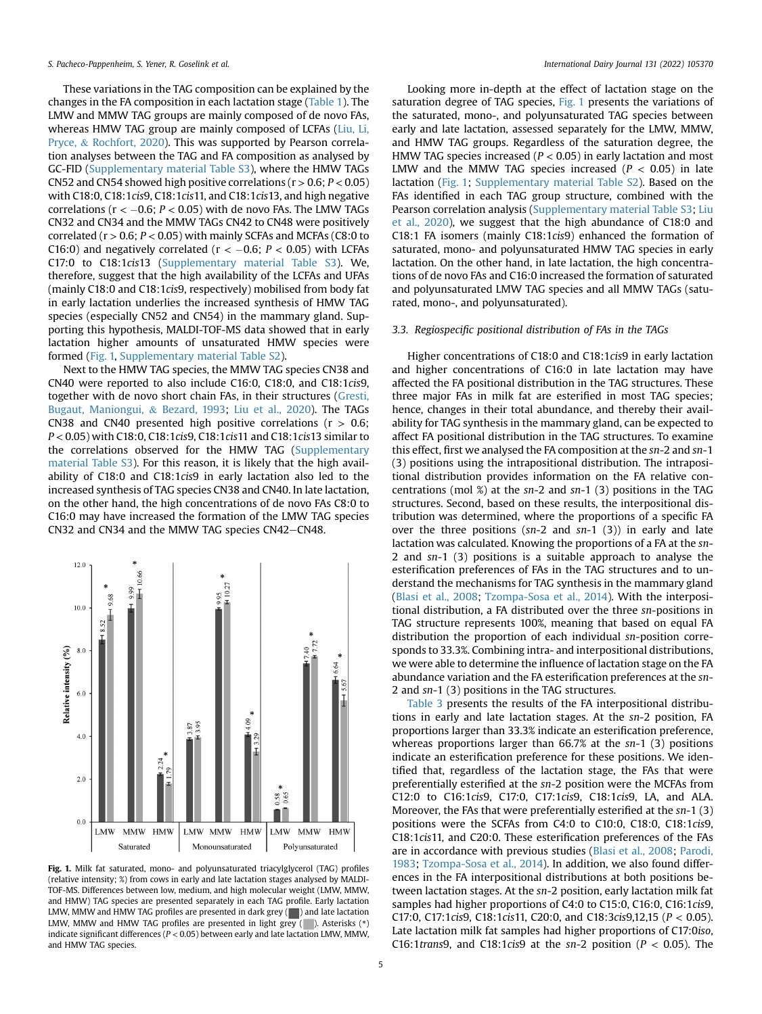These variations in the TAG composition can be explained by the changes in the FA composition in each lactation stage [\(Table 1\)](#page-3-0). The LMW and MMW TAG groups are mainly composed of de novo FAs, whereas HMW TAG group are mainly composed of LCFAs [\(Liu, Li,](#page-8-19) [Pryce,](#page-8-19) & [Rochfort, 2020](#page-8-19)). This was supported by Pearson correlation analyses between the TAG and FA composition as analysed by GC-FID (Supplementary material Table S3), where the HMW TAGs CN52 and CN54 showed high positive correlations ( $r > 0.6$ ;  $P < 0.05$ ) with C18:0, C18:1cis9, C18:1cis11, and C18:1cis13, and high negative correlations ( $r < -0.6$ ;  $P < 0.05$ ) with de novo FAs. The LMW TAGs CN32 and CN34 and the MMW TAGs CN42 to CN48 were positively correlated ( $r > 0.6$ ;  $P < 0.05$ ) with mainly SCFAs and MCFAs (C8:0 to C16:0) and negatively correlated ( $r < -0.6$ ;  $P < 0.05$ ) with LCFAs C17:0 to C18:1cis13 (Supplementary material Table S3). We, therefore, suggest that the high availability of the LCFAs and UFAs (mainly C18:0 and C18:1cis9, respectively) mobilised from body fat in early lactation underlies the increased synthesis of HMW TAG species (especially CN52 and CN54) in the mammary gland. Supporting this hypothesis, MALDI-TOF-MS data showed that in early lactation higher amounts of unsaturated HMW species were formed ([Fig. 1,](#page-4-0) Supplementary material Table S2).

Next to the HMW TAG species, the MMW TAG species CN38 and CN40 were reported to also include C16:0, C18:0, and C18:1cis9, together with de novo short chain FAs, in their structures [\(Gresti,](#page-8-20) [Bugaut, Maniongui,](#page-8-20) & [Bezard, 1993](#page-8-20); [Liu et al., 2020\)](#page-8-19). The TAGs CN38 and CN40 presented high positive correlations ( $r > 0.6$ ; P < 0.05) with C18:0, C18:1cis9, C18:1cis11 and C18:1cis13 similar to the correlations observed for the HMW TAG (Supplementary material Table S3). For this reason, it is likely that the high availability of C18:0 and C18:1cis9 in early lactation also led to the increased synthesis of TAG species CN38 and CN40. In late lactation, on the other hand, the high concentrations of de novo FAs C8:0 to C16:0 may have increased the formation of the LMW TAG species CN32 and CN34 and the MMW TAG species CN42-CN48.

<span id="page-4-0"></span>

Fig. 1. Milk fat saturated, mono- and polyunsaturated triacylglycerol (TAG) profiles (relative intensity; %) from cows in early and late lactation stages analysed by MALDI-TOF-MS. Differences between low, medium, and high molecular weight (LMW, MMW, and HMW) TAG species are presented separately in each TAG profile. Early lactation LMW, MMW and HMW TAG profiles are presented in dark grey  $(\blacksquare)$  and late lactation LMW, MMW and HMW TAG profiles are presented in light grey ( $\Box$ ). Asterisks (\*) indicate significant differences ( $P < 0.05$ ) between early and late lactation LMW, MMW, and HMW TAG species.

Looking more in-depth at the effect of lactation stage on the saturation degree of TAG species, [Fig. 1](#page-4-0) presents the variations of the saturated, mono-, and polyunsaturated TAG species between early and late lactation, assessed separately for the LMW, MMW, and HMW TAG groups. Regardless of the saturation degree, the HMW TAG species increased ( $P < 0.05$ ) in early lactation and most LMW and the MMW TAG species increased ( $P < 0.05$ ) in late lactation ([Fig. 1;](#page-4-0) Supplementary material Table S2). Based on the FAs identified in each TAG group structure, combined with the Pearson correlation analysis (Supplementary material Table S3; [Liu](#page-8-19) [et al., 2020\)](#page-8-19), we suggest that the high abundance of C18:0 and C18:1 FA isomers (mainly C18:1cis9) enhanced the formation of saturated, mono- and polyunsaturated HMW TAG species in early lactation. On the other hand, in late lactation, the high concentrations of de novo FAs and C16:0 increased the formation of saturated and polyunsaturated LMW TAG species and all MMW TAGs (saturated, mono-, and polyunsaturated).

# 3.3. Regiospecific positional distribution of FAs in the TAGs

Higher concentrations of C18:0 and C18:1cis9 in early lactation and higher concentrations of C16:0 in late lactation may have affected the FA positional distribution in the TAG structures. These three major FAs in milk fat are esterified in most TAG species; hence, changes in their total abundance, and thereby their availability for TAG synthesis in the mammary gland, can be expected to affect FA positional distribution in the TAG structures. To examine this effect, first we analysed the FA composition at the sn-2 and sn-1 (3) positions using the intrapositional distribution. The intrapositional distribution provides information on the FA relative concentrations (mol  $\%$ ) at the sn-2 and sn-1 (3) positions in the TAG structures. Second, based on these results, the interpositional distribution was determined, where the proportions of a specific FA over the three positions ( $sn-2$  and  $sn-1$  (3)) in early and late lactation was calculated. Knowing the proportions of a FA at the sn-2 and sn-1 (3) positions is a suitable approach to analyse the esterification preferences of FAs in the TAG structures and to understand the mechanisms for TAG synthesis in the mammary gland ([Blasi et al., 2008;](#page-7-9) [Tzompa-Sosa et al., 2014](#page-8-10)). With the interpositional distribution, a FA distributed over the three sn-positions in TAG structure represents 100%, meaning that based on equal FA distribution the proportion of each individual sn-position corresponds to 33.3%. Combining intra- and interpositional distributions, we were able to determine the influence of lactation stage on the FA abundance variation and the FA esterification preferences at the sn-2 and sn-1 (3) positions in the TAG structures.

[Table 3](#page-5-0) presents the results of the FA interpositional distributions in early and late lactation stages. At the sn-2 position, FA proportions larger than 33.3% indicate an esterification preference, whereas proportions larger than 66.7% at the sn-1 (3) positions indicate an esterification preference for these positions. We identified that, regardless of the lactation stage, the FAs that were preferentially esterified at the sn-2 position were the MCFAs from C12:0 to C16:1cis9, C17:0, C17:1cis9, C18:1cis9, LA, and ALA. Moreover, the FAs that were preferentially esterified at the sn-1 (3) positions were the SCFAs from C4:0 to C10:0, C18:0, C18:1cis9, C18:1cis11, and C20:0. These esterification preferences of the FAs are in accordance with previous studies ([Blasi et al., 2008](#page-7-9); [Parodi,](#page-8-21) [1983](#page-8-21); [Tzompa-Sosa et al., 2014](#page-8-10)). In addition, we also found differences in the FA interpositional distributions at both positions between lactation stages. At the sn-2 position, early lactation milk fat samples had higher proportions of C4:0 to C15:0, C16:0, C16:1cis9, C17:0, C17:1cis9, C18:1cis11, C20:0, and C18:3cis9,12,15 (P < 0.05). Late lactation milk fat samples had higher proportions of C17:0iso, C16:1trans9, and C18:1cis9 at the sn-2 position ( $P < 0.05$ ). The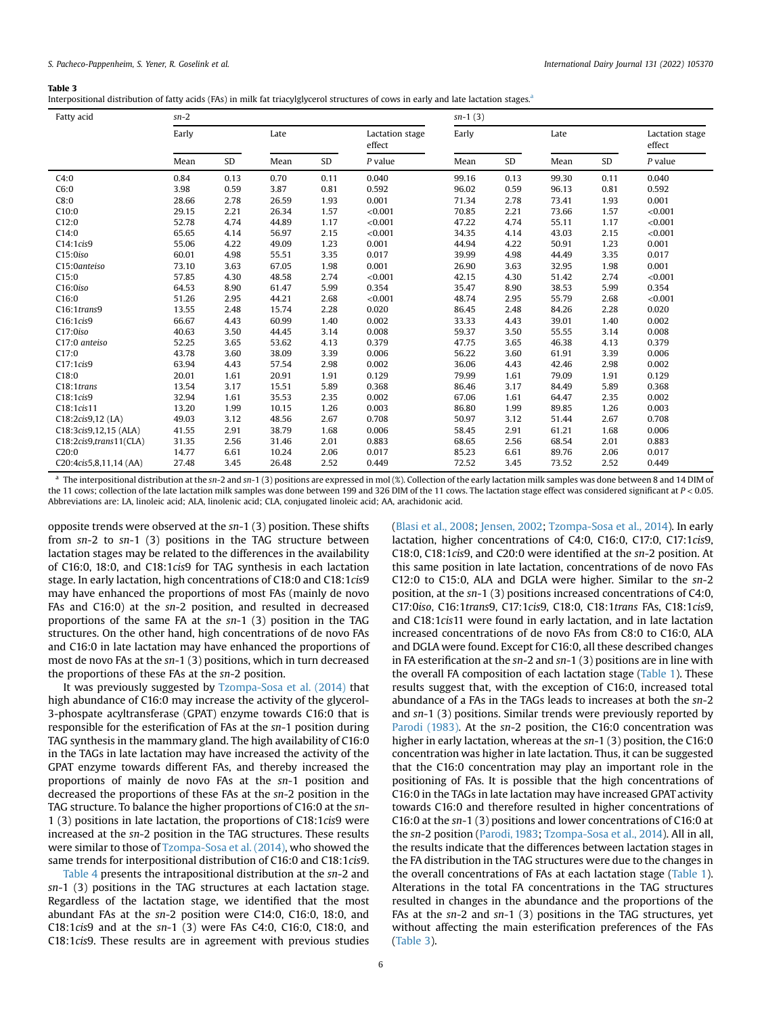#### <span id="page-5-0"></span>Table 3

|  | Interpositional distribution of fatty acids (FAs) in milk fat triacylglycerol structures of cows in early and late lactation stages. <sup>a</sup> |  |
|--|---------------------------------------------------------------------------------------------------------------------------------------------------|--|
|--|---------------------------------------------------------------------------------------------------------------------------------------------------|--|

| Fatty acid             | $sn-2$ |      |       |      |                           | $sn-1(3)$ |      |       |      |                           |
|------------------------|--------|------|-------|------|---------------------------|-----------|------|-------|------|---------------------------|
|                        | Early  |      | Late  |      | Lactation stage<br>effect | Early     |      | Late  |      | Lactation stage<br>effect |
|                        | Mean   | SD   | Mean  | SD   | $P$ value                 | Mean      | SD   | Mean  | SD   | $P$ value                 |
| C4:0                   | 0.84   | 0.13 | 0.70  | 0.11 | 0.040                     | 99.16     | 0.13 | 99.30 | 0.11 | 0.040                     |
| C6:0                   | 3.98   | 0.59 | 3.87  | 0.81 | 0.592                     | 96.02     | 0.59 | 96.13 | 0.81 | 0.592                     |
| C8:0                   | 28.66  | 2.78 | 26.59 | 1.93 | 0.001                     | 71.34     | 2.78 | 73.41 | 1.93 | 0.001                     |
| C10:0                  | 29.15  | 2.21 | 26.34 | 1.57 | < 0.001                   | 70.85     | 2.21 | 73.66 | 1.57 | < 0.001                   |
| C12:0                  | 52.78  | 4.74 | 44.89 | 1.17 | < 0.001                   | 47.22     | 4.74 | 55.11 | 1.17 | < 0.001                   |
| C14:0                  | 65.65  | 4.14 | 56.97 | 2.15 | < 0.001                   | 34.35     | 4.14 | 43.03 | 2.15 | < 0.001                   |
| C14:1cis9              | 55.06  | 4.22 | 49.09 | 1.23 | 0.001                     | 44.94     | 4.22 | 50.91 | 1.23 | 0.001                     |
| C15:0iso               | 60.01  | 4.98 | 55.51 | 3.35 | 0.017                     | 39.99     | 4.98 | 44.49 | 3.35 | 0.017                     |
| C15:0anteiso           | 73.10  | 3.63 | 67.05 | 1.98 | 0.001                     | 26.90     | 3.63 | 32.95 | 1.98 | 0.001                     |
| C15:0                  | 57.85  | 4.30 | 48.58 | 2.74 | < 0.001                   | 42.15     | 4.30 | 51.42 | 2.74 | < 0.001                   |
| C16:0iso               | 64.53  | 8.90 | 61.47 | 5.99 | 0.354                     | 35.47     | 8.90 | 38.53 | 5.99 | 0.354                     |
| C16:0                  | 51.26  | 2.95 | 44.21 | 2.68 | < 0.001                   | 48.74     | 2.95 | 55.79 | 2.68 | < 0.001                   |
| C16:1trans9            | 13.55  | 2.48 | 15.74 | 2.28 | 0.020                     | 86.45     | 2.48 | 84.26 | 2.28 | 0.020                     |
| C16:1cis9              | 66.67  | 4.43 | 60.99 | 1.40 | 0.002                     | 33.33     | 4.43 | 39.01 | 1.40 | 0.002                     |
| $C17:0$ iso            | 40.63  | 3.50 | 44.45 | 3.14 | 0.008                     | 59.37     | 3.50 | 55.55 | 3.14 | 0.008                     |
| C17:0 anteiso          | 52.25  | 3.65 | 53.62 | 4.13 | 0.379                     | 47.75     | 3.65 | 46.38 | 4.13 | 0.379                     |
| C17:0                  | 43.78  | 3.60 | 38.09 | 3.39 | 0.006                     | 56.22     | 3.60 | 61.91 | 3.39 | 0.006                     |
| C17:1cis9              | 63.94  | 4.43 | 57.54 | 2.98 | 0.002                     | 36.06     | 4.43 | 42.46 | 2.98 | 0.002                     |
| C18:0                  | 20.01  | 1.61 | 20.91 | 1.91 | 0.129                     | 79.99     | 1.61 | 79.09 | 1.91 | 0.129                     |
| C18:1trans             | 13.54  | 3.17 | 15.51 | 5.89 | 0.368                     | 86.46     | 3.17 | 84.49 | 5.89 | 0.368                     |
| C18:1cis9              | 32.94  | 1.61 | 35.53 | 2.35 | 0.002                     | 67.06     | 1.61 | 64.47 | 2.35 | 0.002                     |
| C18:1cis11             | 13.20  | 1.99 | 10.15 | 1.26 | 0.003                     | 86.80     | 1.99 | 89.85 | 1.26 | 0.003                     |
| C18:2cis9,12 (LA)      | 49.03  | 3.12 | 48.56 | 2.67 | 0.708                     | 50.97     | 3.12 | 51.44 | 2.67 | 0.708                     |
| C18:3cis9,12,15 (ALA)  | 41.55  | 2.91 | 38.79 | 1.68 | 0.006                     | 58.45     | 2.91 | 61.21 | 1.68 | 0.006                     |
| C18:2cis9,trans11(CLA) | 31.35  | 2.56 | 31.46 | 2.01 | 0.883                     | 68.65     | 2.56 | 68.54 | 2.01 | 0.883                     |
| C20:0                  | 14.77  | 6.61 | 10.24 | 2.06 | 0.017                     | 85.23     | 6.61 | 89.76 | 2.06 | 0.017                     |
| C20:4cis5,8,11,14 (AA) | 27.48  | 3.45 | 26.48 | 2.52 | 0.449                     | 72.52     | 3.45 | 73.52 | 2.52 | 0.449                     |

<span id="page-5-1"></span><sup>a</sup> The interpositional distribution at the sn-2 and sn-1 (3) positions are expressed in mol (%). Collection of the early lactation milk samples was done between 8 and 14 DIM of the 11 cows; collection of the late lactation milk samples was done between 199 and 326 DIM of the 11 cows. The lactation stage effect was considered significant at  $P < 0.05$ . Abbreviations are: LA, linoleic acid; ALA, linolenic acid; CLA, conjugated linoleic acid; AA, arachidonic acid.

opposite trends were observed at the sn-1 (3) position. These shifts from sn-2 to sn-1 (3) positions in the TAG structure between lactation stages may be related to the differences in the availability of C16:0, 18:0, and C18:1cis9 for TAG synthesis in each lactation stage. In early lactation, high concentrations of C18:0 and C18:1cis9 may have enhanced the proportions of most FAs (mainly de novo FAs and C16:0) at the sn-2 position, and resulted in decreased proportions of the same FA at the sn-1 (3) position in the TAG structures. On the other hand, high concentrations of de novo FAs and C16:0 in late lactation may have enhanced the proportions of most de novo FAs at the sn-1 (3) positions, which in turn decreased the proportions of these FAs at the sn-2 position.

It was previously suggested by [Tzompa-Sosa et al. \(2014\)](#page-8-10) that high abundance of C16:0 may increase the activity of the glycerol-3-phospate acyltransferase (GPAT) enzyme towards C16:0 that is responsible for the esterification of FAs at the sn-1 position during TAG synthesis in the mammary gland. The high availability of C16:0 in the TAGs in late lactation may have increased the activity of the GPAT enzyme towards different FAs, and thereby increased the proportions of mainly de novo FAs at the sn-1 position and decreased the proportions of these FAs at the sn-2 position in the TAG structure. To balance the higher proportions of C16:0 at the sn-1 (3) positions in late lactation, the proportions of C18:1cis9 were increased at the sn-2 position in the TAG structures. These results were similar to those of [Tzompa-Sosa et al. \(2014\),](#page-8-10) who showed the same trends for interpositional distribution of C16:0 and C18:1cis9.

[Table 4](#page-6-0) presents the intrapositional distribution at the sn-2 and sn-1 (3) positions in the TAG structures at each lactation stage. Regardless of the lactation stage, we identified that the most abundant FAs at the sn-2 position were C14:0, C16:0, 18:0, and C18:1cis9 and at the sn-1 (3) were FAs C4:0, C16:0, C18:0, and C18:1cis9. These results are in agreement with previous studies

([Blasi et al., 2008;](#page-7-9) [Jensen, 2002](#page-8-0); [Tzompa-Sosa et al., 2014](#page-8-10)). In early lactation, higher concentrations of C4:0, C16:0, C17:0, C17:1cis9, C18:0, C18:1cis9, and C20:0 were identified at the sn-2 position. At this same position in late lactation, concentrations of de novo FAs C12:0 to C15:0, ALA and DGLA were higher. Similar to the sn-2 position, at the sn-1 (3) positions increased concentrations of C4:0, C17:0iso, C16:1trans9, C17:1cis9, C18:0, C18:1trans FAs, C18:1cis9, and C18:1cis11 were found in early lactation, and in late lactation increased concentrations of de novo FAs from C8:0 to C16:0, ALA and DGLA were found. Except for C16:0, all these described changes in FA esterification at the sn-2 and sn-1 (3) positions are in line with the overall FA composition of each lactation stage [\(Table 1](#page-3-0)). These results suggest that, with the exception of C16:0, increased total abundance of a FAs in the TAGs leads to increases at both the sn-2 and sn-1 (3) positions. Similar trends were previously reported by [Parodi \(1983\).](#page-8-21) At the sn-2 position, the C16:0 concentration was higher in early lactation, whereas at the sn-1 (3) position, the C16:0 concentration was higher in late lactation. Thus, it can be suggested that the C16:0 concentration may play an important role in the positioning of FAs. It is possible that the high concentrations of C16:0 in the TAGs in late lactation may have increased GPAT activity towards C16:0 and therefore resulted in higher concentrations of C16:0 at the sn-1 (3) positions and lower concentrations of C16:0 at the sn-2 position ([Parodi, 1983;](#page-8-21) [Tzompa-Sosa et al., 2014](#page-8-10)). All in all, the results indicate that the differences between lactation stages in the FA distribution in the TAG structures were due to the changes in the overall concentrations of FAs at each lactation stage [\(Table 1\)](#page-3-0). Alterations in the total FA concentrations in the TAG structures resulted in changes in the abundance and the proportions of the FAs at the sn-2 and sn-1 (3) positions in the TAG structures, yet without affecting the main esterification preferences of the FAs ([Table 3\)](#page-5-0).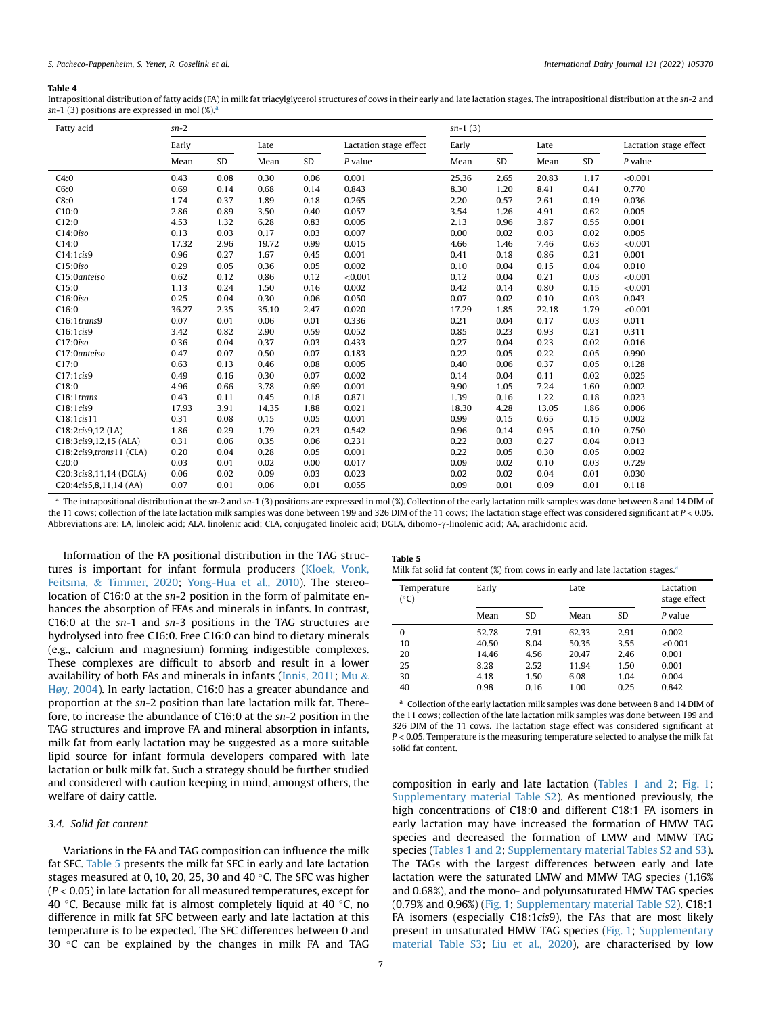#### <span id="page-6-0"></span>Table 4

Intrapositional distribution of fatty acids (FA) in milk fat triacylglycerol structures of cows in their early and late lactation stages. The intrapositional distribution at the sn-2 and sn-1 (3) positions [a](#page-6-2)re expressed in mol  $(\%)^3$ 

| Fatty acid              | $sn-2$ |      |       |      |                        | $sn-1(3)$ |      |       |      |                        |
|-------------------------|--------|------|-------|------|------------------------|-----------|------|-------|------|------------------------|
|                         | Early  |      | Late  |      | Lactation stage effect | Early     |      | Late  |      | Lactation stage effect |
|                         | Mean   | SD   | Mean  | SD   | $P$ value              | Mean      | SD   | Mean  | SD   | $P$ value              |
| C4:0                    | 0.43   | 0.08 | 0.30  | 0.06 | 0.001                  | 25.36     | 2.65 | 20.83 | 1.17 | < 0.001                |
| C6:0                    | 0.69   | 0.14 | 0.68  | 0.14 | 0.843                  | 8.30      | 1.20 | 8.41  | 0.41 | 0.770                  |
| C8:0                    | 1.74   | 0.37 | 1.89  | 0.18 | 0.265                  | 2.20      | 0.57 | 2.61  | 0.19 | 0.036                  |
| C10:0                   | 2.86   | 0.89 | 3.50  | 0.40 | 0.057                  | 3.54      | 1.26 | 4.91  | 0.62 | 0.005                  |
| C12:0                   | 4.53   | 1.32 | 6.28  | 0.83 | 0.005                  | 2.13      | 0.96 | 3.87  | 0.55 | 0.001                  |
| C14:0iso                | 0.13   | 0.03 | 0.17  | 0.03 | 0.007                  | 0.00      | 0.02 | 0.03  | 0.02 | 0.005                  |
| C14:0                   | 17.32  | 2.96 | 19.72 | 0.99 | 0.015                  | 4.66      | 1.46 | 7.46  | 0.63 | < 0.001                |
| C14:1cis9               | 0.96   | 0.27 | 1.67  | 0.45 | 0.001                  | 0.41      | 0.18 | 0.86  | 0.21 | 0.001                  |
| C15:0iso                | 0.29   | 0.05 | 0.36  | 0.05 | 0.002                  | 0.10      | 0.04 | 0.15  | 0.04 | 0.010                  |
| C15:0anteiso            | 0.62   | 0.12 | 0.86  | 0.12 | < 0.001                | 0.12      | 0.04 | 0.21  | 0.03 | < 0.001                |
| C15:0                   | 1.13   | 0.24 | 1.50  | 0.16 | 0.002                  | 0.42      | 0.14 | 0.80  | 0.15 | < 0.001                |
| C16:0iso                | 0.25   | 0.04 | 0.30  | 0.06 | 0.050                  | 0.07      | 0.02 | 0.10  | 0.03 | 0.043                  |
| C16:0                   | 36.27  | 2.35 | 35.10 | 2.47 | 0.020                  | 17.29     | 1.85 | 22.18 | 1.79 | < 0.001                |
| C16:1trans9             | 0.07   | 0.01 | 0.06  | 0.01 | 0.336                  | 0.21      | 0.04 | 0.17  | 0.03 | 0.011                  |
| C16:1cis9               | 3.42   | 0.82 | 2.90  | 0.59 | 0.052                  | 0.85      | 0.23 | 0.93  | 0.21 | 0.311                  |
| C17:0iso                | 0.36   | 0.04 | 0.37  | 0.03 | 0.433                  | 0.27      | 0.04 | 0.23  | 0.02 | 0.016                  |
| C17:0anteiso            | 0.47   | 0.07 | 0.50  | 0.07 | 0.183                  | 0.22      | 0.05 | 0.22  | 0.05 | 0.990                  |
| C17:0                   | 0.63   | 0.13 | 0.46  | 0.08 | 0.005                  | 0.40      | 0.06 | 0.37  | 0.05 | 0.128                  |
| C17:1cis9               | 0.49   | 0.16 | 0.30  | 0.07 | 0.002                  | 0.14      | 0.04 | 0.11  | 0.02 | 0.025                  |
| C18:0                   | 4.96   | 0.66 | 3.78  | 0.69 | 0.001                  | 9.90      | 1.05 | 7.24  | 1.60 | 0.002                  |
| C <sub>18</sub> :1trans | 0.43   | 0.11 | 0.45  | 0.18 | 0.871                  | 1.39      | 0.16 | 1.22  | 0.18 | 0.023                  |
| C18:1cis9               | 17.93  | 3.91 | 14.35 | 1.88 | 0.021                  | 18.30     | 4.28 | 13.05 | 1.86 | 0.006                  |
| C18:1cis11              | 0.31   | 0.08 | 0.15  | 0.05 | 0.001                  | 0.99      | 0.15 | 0.65  | 0.15 | 0.002                  |
| $C18:2cis9,12$ (LA)     | 1.86   | 0.29 | 1.79  | 0.23 | 0.542                  | 0.96      | 0.14 | 0.95  | 0.10 | 0.750                  |
| C18:3cis9,12,15 (ALA)   | 0.31   | 0.06 | 0.35  | 0.06 | 0.231                  | 0.22      | 0.03 | 0.27  | 0.04 | 0.013                  |
| C18:2cis9,trans11 (CLA) | 0.20   | 0.04 | 0.28  | 0.05 | 0.001                  | 0.22      | 0.05 | 0.30  | 0.05 | 0.002                  |
| C20:0                   | 0.03   | 0.01 | 0.02  | 0.00 | 0.017                  | 0.09      | 0.02 | 0.10  | 0.03 | 0.729                  |
| C20:3cis8,11,14 (DGLA)  | 0.06   | 0.02 | 0.09  | 0.03 | 0.023                  | 0.02      | 0.02 | 0.04  | 0.01 | 0.030                  |
| C20:4cis5,8,11,14 (AA)  | 0.07   | 0.01 | 0.06  | 0.01 | 0.055                  | 0.09      | 0.01 | 0.09  | 0.01 | 0.118                  |

<span id="page-6-2"></span><sup>a</sup> The intrapositional distribution at the sn-2 and sn-1 (3) positions are expressed in mol (%). Collection of the early lactation milk samples was done between 8 and 14 DIM of the 11 cows; collection of the late lactation milk samples was done between 199 and 326 DIM of the 11 cows; The lactation stage effect was considered significant at  $P < 0.05$ . Abbreviations are: LA, linoleic acid; ALA, linolenic acid; CLA, conjugated linoleic acid; DGLA, dihomo-y-linolenic acid; AA, arachidonic acid.

Information of the FA positional distribution in the TAG structures is important for infant formula producers ([Kloek, Vonk,](#page-8-22) [Feitsma,](#page-8-22) & [Timmer, 2020](#page-8-22); [Yong-Hua et al., 2010](#page-8-23)). The stereolocation of C16:0 at the sn-2 position in the form of palmitate enhances the absorption of FFAs and minerals in infants. In contrast, C16:0 at the sn-1 and sn-3 positions in the TAG structures are hydrolysed into free C16:0. Free C16:0 can bind to dietary minerals (e.g., calcium and magnesium) forming indigestible complexes. These complexes are difficult to absorb and result in a lower availability of both FAs and minerals in infants ([Innis, 2011;](#page-8-7) [Mu](#page-8-24)  $\&$ [Høy, 2004\)](#page-8-24). In early lactation, C16:0 has a greater abundance and proportion at the sn-2 position than late lactation milk fat. Therefore, to increase the abundance of C16:0 at the sn-2 position in the TAG structures and improve FA and mineral absorption in infants, milk fat from early lactation may be suggested as a more suitable lipid source for infant formula developers compared with late lactation or bulk milk fat. Such a strategy should be further studied and considered with caution keeping in mind, amongst others, the welfare of dairy cattle.

#### 3.4. Solid fat content

Variations in the FA and TAG composition can influence the milk fat SFC. [Table 5](#page-6-1) presents the milk fat SFC in early and late lactation stages measured at 0, 10, 20, 25, 30 and 40 $\degree$ C. The SFC was higher  $(P < 0.05)$  in late lactation for all measured temperatures, except for 40 °C. Because milk fat is almost completely liquid at 40 °C, no difference in milk fat SFC between early and late lactation at this temperature is to be expected. The SFC differences between 0 and 30  $\degree$ C can be explained by the changes in milk FA and TAG

<span id="page-6-1"></span>

| Table 5                                                                      |  |  |  |  |
|------------------------------------------------------------------------------|--|--|--|--|
| Milk fat solid fat content (%) from cows in early and late lactation stages. |  |  |  |  |

| Temperature<br>(°C) | Early |      | Late  |      | Lactation<br>stage effect |
|---------------------|-------|------|-------|------|---------------------------|
|                     | Mean  | SD   | Mean  | SD   | P value                   |
| 0                   | 52.78 | 7.91 | 62.33 | 2.91 | 0.002                     |
| 10                  | 40.50 | 8.04 | 50.35 | 3.55 | < 0.001                   |
| 20                  | 14.46 | 4.56 | 20.47 | 2.46 | 0.001                     |
| 25                  | 8.28  | 2.52 | 11.94 | 1.50 | 0.001                     |
| 30                  | 4.18  | 1.50 | 6.08  | 1.04 | 0.004                     |
| 40                  | 0.98  | 0.16 | 1.00  | 0.25 | 0.842                     |

<span id="page-6-3"></span><sup>a</sup> Collection of the early lactation milk samples was done between 8 and 14 DIM of the 11 cows; collection of the late lactation milk samples was done between 199 and 326 DIM of the 11 cows. The lactation stage effect was considered significant at  $P < 0.05$ . Temperature is the measuring temperature selected to analyse the milk fat solid fat content.

composition in early and late lactation ([Tables 1 and 2;](#page-3-0) [Fig. 1;](#page-4-0) Supplementary material Table S2). As mentioned previously, the high concentrations of C18:0 and different C18:1 FA isomers in early lactation may have increased the formation of HMW TAG species and decreased the formation of LMW and MMW TAG species ([Tables 1 and 2](#page-3-0); Supplementary material Tables S2 and S3). The TAGs with the largest differences between early and late lactation were the saturated LMW and MMW TAG species (1.16% and 0.68%), and the mono- and polyunsaturated HMW TAG species (0.79% and 0.96%) [\(Fig. 1;](#page-4-0) Supplementary material Table S2). C18:1 FA isomers (especially C18:1cis9), the FAs that are most likely present in unsaturated HMW TAG species ([Fig. 1](#page-4-0); Supplementary material Table S3; [Liu et al., 2020\)](#page-8-19), are characterised by low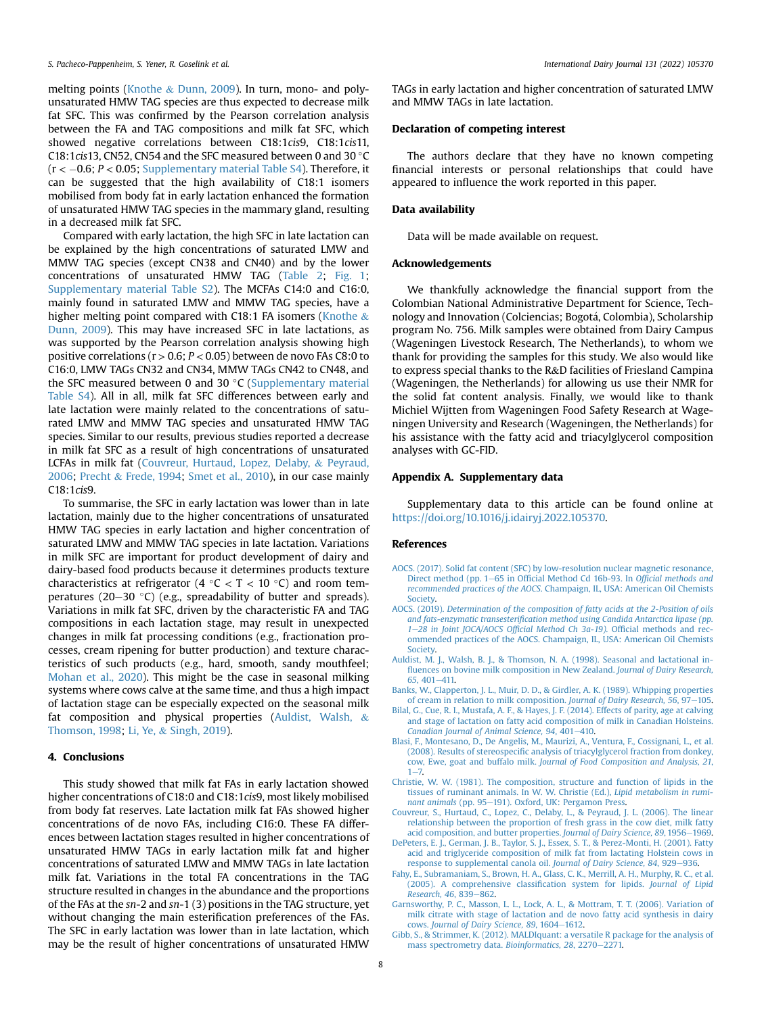melting points [\(Knothe](#page-8-25) & [Dunn, 2009](#page-8-25)). In turn, mono- and polyunsaturated HMW TAG species are thus expected to decrease milk fat SFC. This was confirmed by the Pearson correlation analysis between the FA and TAG compositions and milk fat SFC, which showed negative correlations between C18:1cis9, C18:1cis11, C18:1cis13, CN52, CN54 and the SFC measured between 0 and 30  $^{\circ}$ C  $(r < -0.6; P < 0.05;$  Supplementary material Table S4). Therefore, it can be suggested that the high availability of C18:1 isomers mobilised from body fat in early lactation enhanced the formation of unsaturated HMW TAG species in the mammary gland, resulting in a decreased milk fat SFC.

Compared with early lactation, the high SFC in late lactation can be explained by the high concentrations of saturated LMW and MMW TAG species (except CN38 and CN40) and by the lower concentrations of unsaturated HMW TAG [\(Table 2](#page-3-1); [Fig. 1;](#page-4-0) Supplementary material Table S2). The MCFAs C14:0 and C16:0, mainly found in saturated LMW and MMW TAG species, have a higher melting point compared with C18:1 FA isomers [\(Knothe](#page-8-25)  $\&$ [Dunn, 2009](#page-8-25)). This may have increased SFC in late lactations, as was supported by the Pearson correlation analysis showing high positive correlations ( $r > 0.6$ ;  $P < 0.05$ ) between de novo FAs C8:0 to C16:0, LMW TAGs CN32 and CN34, MMW TAGs CN42 to CN48, and the SFC measured between 0 and 30 $\degree$ C (Supplementary material Table S4). All in all, milk fat SFC differences between early and late lactation were mainly related to the concentrations of saturated LMW and MMW TAG species and unsaturated HMW TAG species. Similar to our results, previous studies reported a decrease in milk fat SFC as a result of high concentrations of unsaturated LCFAs in milk fat ([Couvreur, Hurtaud, Lopez, Delaby,](#page-7-10) & [Peyraud,](#page-7-10) [2006;](#page-7-10) [Precht](#page-8-26) & [Frede, 1994;](#page-8-26) [Smet et al., 2010\)](#page-8-27), in our case mainly C18:1cis9.

To summarise, the SFC in early lactation was lower than in late lactation, mainly due to the higher concentrations of unsaturated HMW TAG species in early lactation and higher concentration of saturated LMW and MMW TAG species in late lactation. Variations in milk SFC are important for product development of dairy and dairy-based food products because it determines products texture characteristics at refrigerator (4  $\degree$ C < T < 10  $\degree$ C) and room temperatures (20-30 °C) (e.g., spreadability of butter and spreads). Variations in milk fat SFC, driven by the characteristic FA and TAG compositions in each lactation stage, may result in unexpected changes in milk fat processing conditions (e.g., fractionation processes, cream ripening for butter production) and texture characteristics of such products (e.g., hard, smooth, sandy mouthfeel; [Mohan et al., 2020\)](#page-8-1). This might be the case in seasonal milking systems where cows calve at the same time, and thus a high impact of lactation stage can be especially expected on the seasonal milk fat composition and physical properties ([Auldist, Walsh,](#page-7-11) & [Thomson, 1998;](#page-7-11) [Li, Ye,](#page-8-28) & [Singh, 2019\)](#page-8-28).

### 4. Conclusions

This study showed that milk fat FAs in early lactation showed higher concentrations of C18:0 and C18:1cis9, most likely mobilised from body fat reserves. Late lactation milk fat FAs showed higher concentrations of de novo FAs, including C16:0. These FA differences between lactation stages resulted in higher concentrations of unsaturated HMW TAGs in early lactation milk fat and higher concentrations of saturated LMW and MMW TAGs in late lactation milk fat. Variations in the total FA concentrations in the TAG structure resulted in changes in the abundance and the proportions of the FAs at the sn-2 and sn-1 (3) positions in the TAG structure, yet without changing the main esterification preferences of the FAs. The SFC in early lactation was lower than in late lactation, which may be the result of higher concentrations of unsaturated HMW

TAGs in early lactation and higher concentration of saturated LMW and MMW TAGs in late lactation.

# Declaration of competing interest

The authors declare that they have no known competing financial interests or personal relationships that could have appeared to influence the work reported in this paper.

# Data availability

Data will be made available on request.

#### Acknowledgements

We thankfully acknowledge the financial support from the Colombian National Administrative Department for Science, Technology and Innovation (Colciencias; Bogota, Colombia), Scholarship program No. 756. Milk samples were obtained from Dairy Campus (Wageningen Livestock Research, The Netherlands), to whom we thank for providing the samples for this study. We also would like to express special thanks to the R&D facilities of Friesland Campina (Wageningen, the Netherlands) for allowing us use their NMR for the solid fat content analysis. Finally, we would like to thank Michiel Wijtten from Wageningen Food Safety Research at Wageningen University and Research (Wageningen, the Netherlands) for his assistance with the fatty acid and triacylglycerol composition analyses with GC-FID.

### Appendix A. Supplementary data

Supplementary data to this article can be found online at <https://doi.org/10.1016/j.idairyj.2022.105370>.

# References

- <span id="page-7-7"></span>[AOCS. \(2017\). Solid fat content \(SFC\) by low-resolution nuclear magnetic resonance,](http://refhub.elsevier.com/S0958-6946(22)00054-1/sref1) [Direct method \(pp. 1](http://refhub.elsevier.com/S0958-6946(22)00054-1/sref1)-65 in Offi[cial Method Cd 16b-93. In](http://refhub.elsevier.com/S0958-6946(22)00054-1/sref1) Official methods and recommended practices of the AOCS[. Champaign, IL, USA: American Oil Chemists](http://refhub.elsevier.com/S0958-6946(22)00054-1/sref1) [Society.](http://refhub.elsevier.com/S0958-6946(22)00054-1/sref1)
- <span id="page-7-6"></span>AOCS. (2019). [Determination of the composition of fatty acids at the 2-Position of oils](http://refhub.elsevier.com/S0958-6946(22)00054-1/sref2) and fats-enzymatic transesterifi[cation method using Candida Antarctica lipase \(pp.](http://refhub.elsevier.com/S0958-6946(22)00054-1/sref2) [1](http://refhub.elsevier.com/S0958-6946(22)00054-1/sref2)-[28 in Joint JOCA/AOCS Of](http://refhub.elsevier.com/S0958-6946(22)00054-1/sref2)ficial Method Ch 3a-19). Official methods and rec[ommended practices of the AOCS. Champaign, IL, USA: American Oil Chemists](http://refhub.elsevier.com/S0958-6946(22)00054-1/sref2) [Society.](http://refhub.elsevier.com/S0958-6946(22)00054-1/sref2)
- <span id="page-7-11"></span>[Auldist, M. J., Walsh, B. J., & Thomson, N. A. \(1998\). Seasonal and lactational in](http://refhub.elsevier.com/S0958-6946(22)00054-1/sref3)fl[uences on bovine milk composition in New Zealand.](http://refhub.elsevier.com/S0958-6946(22)00054-1/sref3) Journal of Dairy Research,  $65, 401 - 411$  $65, 401 - 411$  $65, 401 - 411$
- <span id="page-7-2"></span>[Banks, W., Clapperton, J. L., Muir, D. D., & Girdler, A. K. \(1989\). Whipping properties](http://refhub.elsevier.com/S0958-6946(22)00054-1/sref4) [of cream in relation to milk composition.](http://refhub.elsevier.com/S0958-6946(22)00054-1/sref4) Journal of Dairy Research, 56, 97-[105](http://refhub.elsevier.com/S0958-6946(22)00054-1/sref4).
- <span id="page-7-8"></span>[Bilal, G., Cue, R. I., Mustafa, A. F., & Hayes, J. F. \(2014\). Effects of parity, age at calving](http://refhub.elsevier.com/S0958-6946(22)00054-1/sref5) [and stage of lactation on fatty acid composition of milk in Canadian Holsteins.](http://refhub.elsevier.com/S0958-6946(22)00054-1/sref5) [Canadian Journal of Animal Science, 94](http://refhub.elsevier.com/S0958-6946(22)00054-1/sref5), 401-[410](http://refhub.elsevier.com/S0958-6946(22)00054-1/sref5).<br>[Blasi, F., Montesano, D., De Angelis, M., Maurizi, A., Ventura, F., Cossignani, L., et al.](http://refhub.elsevier.com/S0958-6946(22)00054-1/sref6)
- <span id="page-7-9"></span>(2008). Results of stereospecifi[c analysis of triacylglycerol fraction from donkey,](http://refhub.elsevier.com/S0958-6946(22)00054-1/sref6) cow, Ewe, goat and buffalo milk. [Journal of Food Composition and Analysis, 21](http://refhub.elsevier.com/S0958-6946(22)00054-1/sref6),  $1 - 7.$  $1 - 7.$  $1 - 7.$
- <span id="page-7-1"></span>[Christie, W. W. \(1981\). The composition, structure and function of lipids in the](http://refhub.elsevier.com/S0958-6946(22)00054-1/sref7) [tissues of ruminant animals. In W. W. Christie \(Ed.\),](http://refhub.elsevier.com/S0958-6946(22)00054-1/sref7) Lipid metabolism in rumi[nant animals](http://refhub.elsevier.com/S0958-6946(22)00054-1/sref7) (pp. 95-[191\). Oxford, UK: Pergamon Press.](http://refhub.elsevier.com/S0958-6946(22)00054-1/sref7)
- <span id="page-7-10"></span>[Couvreur, S., Hurtaud, C., Lopez, C., Delaby, L., & Peyraud, J. L. \(2006\). The linear](http://refhub.elsevier.com/S0958-6946(22)00054-1/sref8) [relationship between the proportion of fresh grass in the cow diet, milk fatty](http://refhub.elsevier.com/S0958-6946(22)00054-1/sref8) [acid composition, and butter properties.](http://refhub.elsevier.com/S0958-6946(22)00054-1/sref8) Journal of Dairy Science, 89, 1956-[1969](http://refhub.elsevier.com/S0958-6946(22)00054-1/sref8).
- <span id="page-7-3"></span>[DePeters, E. J., German, J. B., Taylor, S. J., Essex, S. T., & Perez-Monti, H. \(2001\). Fatty](http://refhub.elsevier.com/S0958-6946(22)00054-1/sref9) [acid and triglyceride composition of milk fat from lactating Holstein cows in](http://refhub.elsevier.com/S0958-6946(22)00054-1/sref9) [response to supplemental canola oil.](http://refhub.elsevier.com/S0958-6946(22)00054-1/sref9) Journal of Dairy Science, 84, 929-[936](http://refhub.elsevier.com/S0958-6946(22)00054-1/sref9).
- <span id="page-7-5"></span>[Fahy, E., Subramaniam, S., Brown, H. A., Glass, C. K., Merrill, A. H., Murphy, R. C., et al.](http://refhub.elsevier.com/S0958-6946(22)00054-1/sref10) [\(2005\). A comprehensive classi](http://refhub.elsevier.com/S0958-6946(22)00054-1/sref10)fication system for lipids. Journal of Lipid [Research, 46](http://refhub.elsevier.com/S0958-6946(22)00054-1/sref10), 839-[862.](http://refhub.elsevier.com/S0958-6946(22)00054-1/sref10)
- <span id="page-7-0"></span>[Garnsworthy, P. C., Masson, L. L., Lock, A. L., & Mottram, T. T. \(2006\). Variation of](http://refhub.elsevier.com/S0958-6946(22)00054-1/sref11) [milk citrate with stage of lactation and de novo fatty acid synthesis in dairy](http://refhub.elsevier.com/S0958-6946(22)00054-1/sref11) cows. [Journal of Dairy Science, 89](http://refhub.elsevier.com/S0958-6946(22)00054-1/sref11), 1604-[1612.](http://refhub.elsevier.com/S0958-6946(22)00054-1/sref11)
- <span id="page-7-4"></span>[Gibb, S., & Strimmer, K. \(2012\). MALDIquant: a versatile R package for the analysis of](http://refhub.elsevier.com/S0958-6946(22)00054-1/sref12) [mass spectrometry data.](http://refhub.elsevier.com/S0958-6946(22)00054-1/sref12) Bioinformatics, 28, 2270-[2271.](http://refhub.elsevier.com/S0958-6946(22)00054-1/sref12)